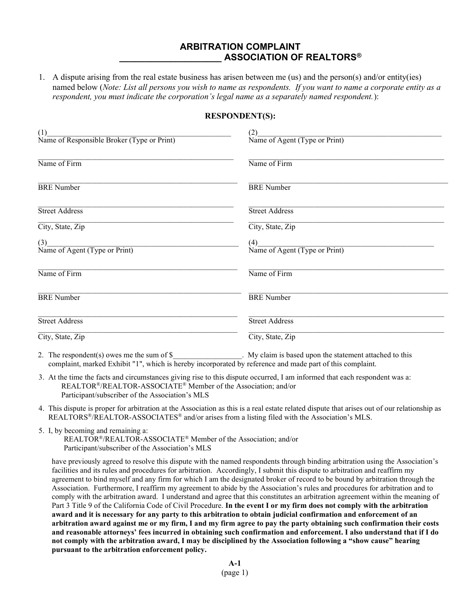## ARBITRATION COMPLAINT ASSOCIATION OF REALTORS®

1. A dispute arising from the real estate business has arisen between me (us) and the person(s) and/or entity(ies) named below (Note: List all persons you wish to name as respondents. If you want to name a corporate entity as a respondent, you must indicate the corporation's legal name as a separately named respondent.):

## RESPONDENT(S):

| (1)<br>Name of Responsible Broker (Type or Print) | (2)<br>Name of Agent (Type or Print) |
|---------------------------------------------------|--------------------------------------|
| Name of Firm                                      | Name of Firm                         |
| <b>BRE</b> Number                                 | <b>BRE</b> Number                    |
| <b>Street Address</b>                             | <b>Street Address</b>                |
| City, State, Zip                                  | City, State, Zip                     |
| (3)<br>Name of Agent (Type or Print)              | (4)<br>Name of Agent (Type or Print) |
| Name of Firm                                      | Name of Firm                         |
| <b>BRE</b> Number                                 | <b>BRE</b> Number                    |
| <b>Street Address</b>                             | <b>Street Address</b>                |
| City, State, Zip                                  | City, State, Zip                     |

2. The respondent(s) owes me the sum of \$ My claim is based upon the statement attached to this complaint, marked Exhibit "1", which is hereby incorporated by reference and made part of this complaint.

- 3. At the time the facts and circumstances giving rise to this dispute occurred, I am informed that each respondent was a: REALTOR®/REALTOR-ASSOCIATE® Member of the Association; and/or Participant/subscriber of the Association's MLS
- 4. This dispute is proper for arbitration at the Association as this is a real estate related dispute that arises out of our relationship as REALTORS®/REALTOR-ASSOCIATES® and/or arises from a listing filed with the Association's MLS.
- 5. I, by becoming and remaining a:

 REALTOR®/REALTOR-ASSOCIATE® Member of the Association; and/or Participant/subscriber of the Association's MLS

have previously agreed to resolve this dispute with the named respondents through binding arbitration using the Association's facilities and its rules and procedures for arbitration. Accordingly, I submit this dispute to arbitration and reaffirm my agreement to bind myself and any firm for which I am the designated broker of record to be bound by arbitration through the Association. Furthermore, I reaffirm my agreement to abide by the Association's rules and procedures for arbitration and to comply with the arbitration award. I understand and agree that this constitutes an arbitration agreement within the meaning of Part 3 Title 9 of the California Code of Civil Procedure. In the event I or my firm does not comply with the arbitration award and it is necessary for any party to this arbitration to obtain judicial confirmation and enforcement of an arbitration award against me or my firm, I and my firm agree to pay the party obtaining such confirmation their costs and reasonable attorneys' fees incurred in obtaining such confirmation and enforcement. I also understand that if I do not comply with the arbitration award, I may be disciplined by the Association following a "show cause" hearing pursuant to the arbitration enforcement policy.